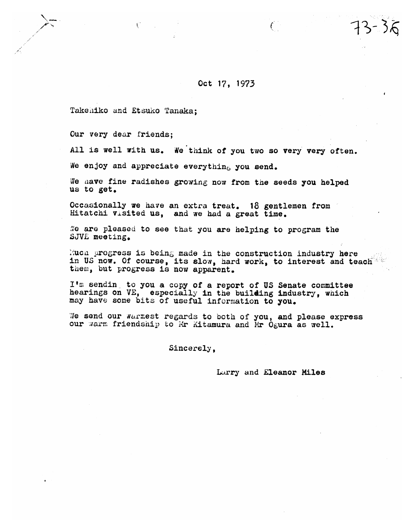## Oct 17, 1973

 $\ell^-$ 

Takehiko and Etsuko Tanaka:

Our very dear friends:

All is well with us. We think of you two so very very often.

We enjoy and appreciate everything you send.

We have fine radishes growing now from the seeds you helped us to get.

Occasionally we have an extra treat. 18 gentlemen from Hitatchi visited us, and we had a great time.

We are pleased to see that you are helping to program the SJVE meeting.

Much progress is being made in the construction industry here in US now. Of course, its slow, hard work, to interest and teach them, but progress is now apparent.

I'm sending to you a copy of a report of US Senate committee hearings on VE, especially in the building industry, which may have some bits of useful information to you.

We send our warrest regards to both of you, and please express our warm friendship to Mr Kitamura and Mr Ogura as well.

Sincerely.

Larry and Eleanor Miles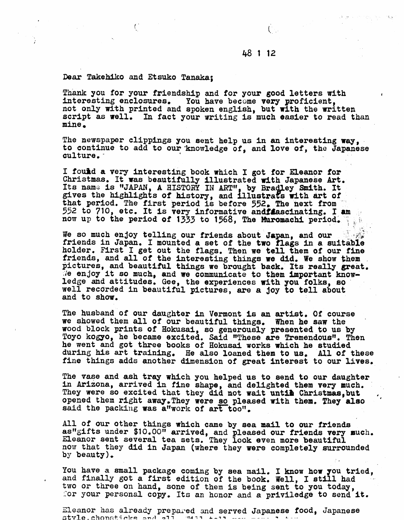## 48 1 12

 $\mathbb{Z}^n \to \mathbb{R}$ 

## **Pear Takehiko and Etsuko Tanaka;**

 $\left( \right)$ 

**Thank you** for **your friendship and for your good letters with interesting enclosures. You have become very proficient,**  not only **aith printed and spoken englisb, but with the written script as well.** In **fact your writing is much easier to read than mine** 

The **newspaper clippings you sent help us In an interesting wey, to continue to add to our'knowledge of, and love 04, the Japanese culture.** -

**I** found a very interesting book which I got for Eleanor for **Christmas. It was beautifully illustrated with Japanese Art. Its nam; is VAPAN, A** HISTORY **111 ARTvr by Bra ey Smith. It**  gives the highlights of history, and illustrats with art of **that period. The first period is before 552.. The next from 552 to 710, etc. It is very informative andiacinating. I am now up to the period of 1333 to 1568. The Muromachi period.** 

We so much enjoy telling our friends about Japan, and our **friends in Japan. I mounted a set of the two flags** in **a suit&bie holder. First I get out** the **flags. Then we tell them of** our **fine friends, and a11 of the interesting things we did. We show them** . pictures, and beautiful things we brought back. Its really great. **Je enjoy it so much, and we communicate to them important knowledge ad attitudes. Gee, the experiences 6th you folks, so well recorded in beautiful pictures, are a joy to tell about a,nd to show.** 

**The husband of our daughter in Vermont is an artist, Of course we showed them all of our beautiful things.** When **he saw the wood block prints of Eokusai, so generously presented to us by**  Toyo **kogyo, he became excited. Said These are Tremendous", Then he went and got three books of Hokusai works which he studied**  during his art training. He also loaned them to us. **fine** things **adds another dimension of great Interest to our lives.** 

The vase and ash tray which you helped us to send to our daughter<br>in Arizona, arrived in fine shape, and delighted them very much. In Arizona, arrived in time shape, and delignted them very much.<br>They were so excited that they did not wait untime Christmas, but<br>opened them right away.They were <u>so</u> pleased with them. They also opened them right away. They were so pleased with them. They also said the packing was a"work of art too".

All **of our other things which came by sea laail to our friends astfgifts** under \$lO.OOrt **arrived, and pleased our friend8 very much.**  Eleanor **sent several tea sets. They** look **even more beautiful**  now **that they did In Japan (where** they were **completely surrounded by beauty),** 

**You have a small package coming by sea mail. I know how you tried, and** finally got **a first edition of the book. Well, I still had** - **two or three on hand, sone of them is being sent to you today, :or your personal copy.** Itc **an honor and a priviledge to send it.** 

Eleanor has already prepared and served Japanese food, Japanese style.chopsticks and all wall tall man was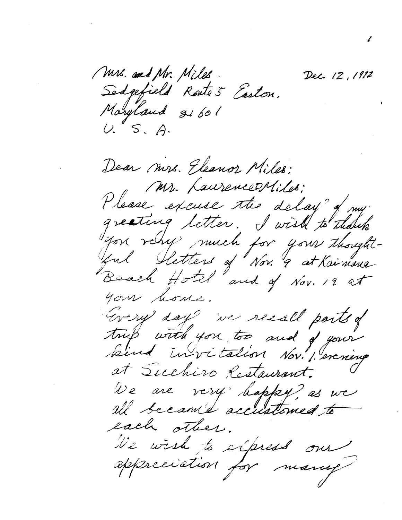Mrs. and Mr. Miles. Dec. 12, 1912 Sedgefield Route's Easton. Maryland 21601  $U. S. A.$ Dear mrs. Eleanor Miles: Mr. Laurence Miles: Please excuse the delay of my greating letter. I wish to thank you rely much for your thoughtful Sletters of Nov. 9 at Kaimana your home. Grery day we recall parts of tries with you too and of your kind invitation Nov. 1. exercise at Suchiro Cestaurant. We are very happy? as we all became accustomed to each sther. We wish to express our appreciation for many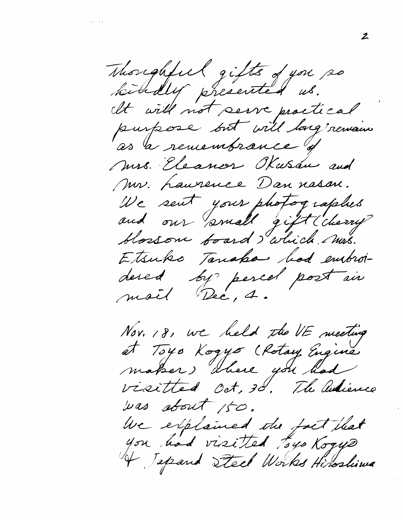Thoughful gifts of you so kindly presented us. It will not serve proctical purpose but will long remain as a remembrance of Mrs. Eleanor Kusan and Mr. Laurence Dan nasan. We sent your photographes and our small gift (cherry blossom board I which mus. Etsuko Tanaka hod embroidered by percel post in mail Dec, 4.

Nov. 18, we held the VE meeting et Toyo Kogyo (Rotay Engine maker) where you had visitted Oct, 30. The antience was about 150. We explained the fact that you had visited toys Koque 4 Japand Steel Works Hiroslima